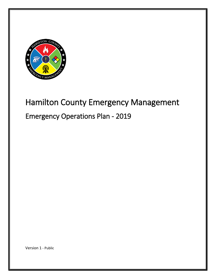

# Hamilton County Emergency Management Emergency Operations Plan - 2019

Version 1 - Public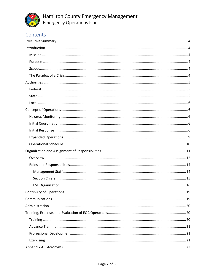

Hamilton County Emergency Management<br>Emergency Operations Plan

# Contents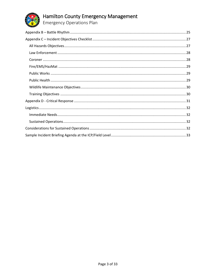

# Hamilton County Emergency Management<br>Emergency Operations Plan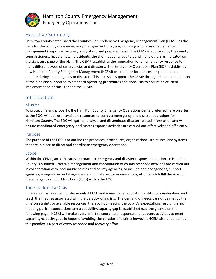

Emergency Operations Plan

## <span id="page-3-0"></span>Executive Summary

Hamilton County established the County's Comprehensive Emergency Management Plan (CEMP) as the basis for the county-wide emergency management program, including all phases of emergency management (response, recovery, mitigation, and preparedness). The CEMP is approved by the county commissioners, mayors, town presidents, the sheriff, county auditor, and many others as indicated on the signature page of the plan. The CEMP establishes the foundation for an emergency response to many different types of emergencies and disasters. The Emergency Operations Plan (EOP) establishes how Hamilton County Emergency Management (HCEM) will monitor for hazards, respond to, and operate during an emergency or disaster. This plan shall support the CEMP through the implementation of the plan and supported by standard operating procedures and checklists to ensure an efficient implementation of this EOP and the CEMP.

### <span id="page-3-1"></span>Introduction

#### <span id="page-3-2"></span>**Mission**

To protect life and property, the Hamilton County Emergency Operations Center, referred here on after as the EOC, will utilize all available resources to conduct emergency and disaster operations for Hamilton County. The EOC will gather, analyze, and disseminate disaster-related information and will ensure coordinated emergency or disaster response activities are carried out effectively and efficiently.

#### <span id="page-3-3"></span>Purpose

The purpose of the EOP is to outline the processes, procedures, organizational structures, and systems that are in place to direct and coordinate emergency operations.

#### <span id="page-3-4"></span>Scope

Within the CEMP, an all-hazards approach to emergency and disaster response operations in Hamilton County is outlined. Effective management and coordination of county response activities are carried out in collaboration with local municipalities and county agencies, to include primary agencies, support agencies, non-governmental agencies, and private sector organizations, all of which fulfill the roles of the emergency support functions (ESFs) within the EOC.

#### <span id="page-3-5"></span>The Paradox of a Crisis

Emergency management professionals, FEMA, and many higher education institutions understand and teach the theories associated with the paradox of a crisis. The demand of needs cannot be met by the time constraints or available resources, thereby not meeting the public's expectations resulting in not meeting pollical expectations and a capability/capacity gap is established (see the graphic on the following page. HCEM will make every effort to coordinate response and recovery activities to meet capability/capacity gaps in hopes of avoiding the paradox of a crisis; however, HCEM also understands this paradox is a part of every response and recovery effort.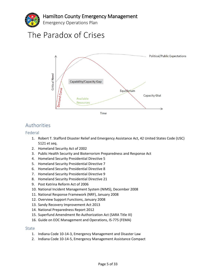

# The Paradox of Crises



# <span id="page-4-0"></span>Authorities

#### <span id="page-4-1"></span>Federal

- 1. Robert T. Stafford Disaster Relief and Emergency Assistance Act, 42 United States Code (USC) 5121 et seq.
- 2. Homeland Security Act of 2002
- 3. Public Health Security and Bioterrorism Preparedness and Response Act
- 4. Homeland Security Presidential Directive 5
- 5. Homeland Security Presidential Directive 7
- 6. Homeland Security Presidential Directive 8
- 7. Homeland Security Presidential Directive 9
- 8. Homeland Security Presidential Directive 21
- 9. Post Katrina Reform Act of 2006
- 10. National Incident Management System (NIMS), December 2008
- 11. National Response Framework (NRF), January 2008
- 12. Overview Support Functions, January 2008
- 13. Sandy Recovery Improvement Act 2013
- 14. National Preparedness Report 2012
- 15. Superfund Amendment Re-Authorization Act (SARA Title III)
- 16. Guide on EOC Management and Operations, IS-775 (FEMA)

#### <span id="page-4-2"></span>State

- 1. Indiana Code 10-14-3, Emergency Management and Disaster Law
- 2. Indiana Code 10-14-5, Emergency Management Assistance Compact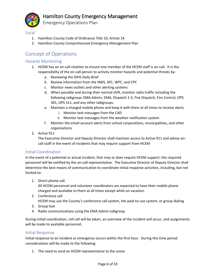

#### <span id="page-5-0"></span>Local

- 1. Hamilton County Code of Ordinance Title 10, Article 14
- 2. Hamilton County Comprehensive Emergency Management Plan

# <span id="page-5-1"></span>Concept of Operations

#### <span id="page-5-2"></span>Hazards Monitoring

- 1. HCEM has an on-call rotation to ensure one member of the HCEM staff is on-call. It is the responsibility of the on-call person to activity monitor hazards and potential threats by:
	- a. Reviewing the IDHS Daily Brief
	- b. Review information from the NWS, SPC, WPC, and CPC
	- c. Monitor news outlets and other alerting systems
	- d. When possible and during their normal shift, monitor radio traffic including the following talkgroup: EMA Admin, EMA, Dispatch 1-5, Fire Dispatch, Fire Control, OPS 301, OPS 311, and any other talkgroups.
	- e. Maintain a charged mobile phone and keep it with them at all times to receive alerts
		- i. Monitor text messages from the CAD
		- ii. Monitor text messages from the weather notification system
	- f. Monitor the email account alerts from school corporations, municipalities, and other organizations
- 2. Active 911

The Executive Director and Deputy Director shall maintain access to Active 911 and advise oncall staff in the event of incidents that may require support from HCEM

#### <span id="page-5-3"></span>Initial Coordination

In the event of a potential or actual incident, that may or does require HCEM support; the required personnel will be notified by the on-call representative. The Executive Director of Deputy Director shall determine the best means of communication to coordinate initial response activities, including, but not limited to:

1. Direct phone call

All HCEM personnel and volunteer coordinators are expected to have their mobile phone charged and available to them at all times except while on vacation.

2. Conference call

HCEM may use the County's conference call system, the paid-to-use system, or group dialing

- 3. Group text
- 4. Radio communications using the EMA Admin talkgroup

During initial coordination, roll call will be taken, an overview of the incident will occur, and assignments will be made to available personnel.

#### <span id="page-5-4"></span>Initial Response

Initial response to an incident or emergency occurs within the first hour. During this time period considerations will be made to the following:

1. The need to send an HCEM representative to the scene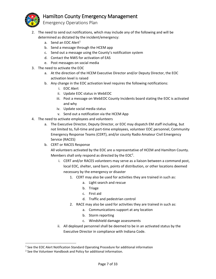

- 
- 2. The need to send out notifications, which may include any of the following and will be determined as dictated by the incident/emergency:
	- a. Send an EOC Alert $<sup>1</sup>$ </sup>
	- b. Send a message through the HCEM app
	- c. Send out a message using the County's notification system
	- d. Contact the NWS for activation of EAS
	- e. Post messages on social media
- 3. The need to activate the EOC
	- a. At the direction of the HCEM Executive Director and/or Deputy Director, the EOC activation level is raised
	- b. Any change in the EOC activation level requires the following notifications:
		- i. EOC Alert
		- ii. Update EOC status in WebEOC
		- iii. Post a message on WebEOC County Incidents board stating the EOC is activated and why
		- iv. Update social media status
		- v. Send out a notification via the HCEM App
- 4. The need to activate employees and volunteers
	- a. The Executive Director, Deputy Director, or EOC may dispatch EM staff including, but not limited to, full-time and part-time employees, volunteer EOC personnel, Community Emergency Response Teams (CERT), and/or county Radio Amateur Civil Emergency Service (RACES)
	- b. CERT or RACES Response

All volunteers activated by the EOC are a representative of HCEM and Hamilton County. Members shall only respond as directed by the EOC<sup>2</sup>.

- i. CERT and/or RACES volunteers may serve as a liaison between a command post, local EOC, shelter, sand barn, points of distribution, or other locations deemed necessary by the emergency or disaster
	- 1. CERT may also be used for activities they are trained in such as:
		- a. Light search and rescue
		- b. Triage
		- c. First aid
		- d. Traffic and pedestrian control
	- 2. RACE may also be used for activities they are trained in such as:
		- a. Communications support at any location
		- b. Storm reporting
		- c. Windshield damage assessments
- ii. All deployed personnel shall be deemed to be in an activated status by the Executive Director in compliance with Indiana Code.

 $\overline{\phantom{a}}$ 

<sup>&</sup>lt;sup>1</sup> See the EOC Alert Notification Standard Operating Procedure for additional information

<sup>&</sup>lt;sup>2</sup> See the Volunteer Handbook and Policy for additional information.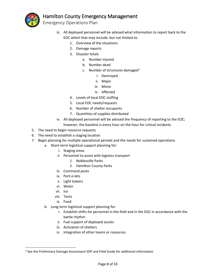

Emergency Operations Plan

- iii. All deployed personnel will be advised what information to report back to the EOC which that may include, but not limited to:
	- 1. Overview of the situations
	- 2. Damage reports
	- 3. Disaster totals
		- a. Number injured
		- b. Number dead
		- c. Number of structures damaged<sup>3</sup>
			- i. Destroyed
			- ii. Major
			- iii. Minor
			- iv. Affected
	- 4. Levels of local EOC staffing
	- 5. Local EOC needs/requests
	- 6. Number of shelter occupants
	- 7. Quantities of supplies distributed
- iv. All deployed personnel will be advised the frequency of reporting to the EOC; however, the baseline is every hour on the hour for critical incidents
- 5. The need to begin resource requests
- 6. The need to establish a staging location
- 7. Begin planning for multiple operational periods and the needs for sustained operations
	- a. Short-term logistical support planning for:
		- i. Staging areas
		- ii. Personnel to assist with logistics transport
			- 1. Noblesville Parks
			- 2. Hamilton County Parks
		- iii. Command posts
		- iv. Port-o-lets
		- v. Light towers
		- vi. Water
		- vii. Ice

 $\overline{a}$ 

- viii. Tents
- ix. Food
- b. Long-term logistical support planning for:
	- i. Establish shifts for personnel in the field and in the EOC in accordance with the battle rhythm
	- ii. Fuel support of deployed assists
	- iii. Activation of shelters
	- iv. Integration of other teams or resources

<sup>&</sup>lt;sup>3</sup> See the Preliminary Damage Assessment SOP and Field Guide for additional information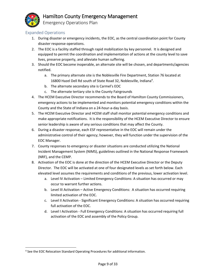

 $\overline{a}$ 

# Hamilton County Emergency Management

Emergency Operations Plan

#### <span id="page-8-0"></span>Expanded Operations

- 1. During disaster or emergency incidents, the EOC, as the central coordination point for County disaster response operations.
- 2. The EOC is a facility staffed through rapid mobilization by key personnel. It is designed and equipped to permit the coordination and implementation of actions at the county level to save lives, preserve property, and alleviate human suffering.
- 3. Should the EOC become inoperable, an alternate site will be chosen, and departments/agencies notified.
	- a. The primary alternate site is the Noblesville Fire Department, Station 76 located at 16800 Hazel Dell Rd south of State Road 32, Noblesville, Indiana<sup>4</sup>.
	- b. The alternate secondary site is Carmel's EOC
	- c. The alternate tertiary site is the County Fairgrounds
- 4. The HCEM Executive Director recommends to the Board of Hamilton County Commissioners, emergency actions to be implemented and monitors potential emergency conditions within the County and the State of Indiana on a 24-hour-a-day basis.
- 5. The HCEM Executive Director and HCEM staff shall monitor potential emergency conditions and make appropriate notifications. It is the responsibility of the HCEM Executive Director to ensure senior leadership is aware of any serious conditions that may affect the County.
- 6. During a disaster response, each ESF representative in the EOC will remain under the administrative control of their agency; however, they will function under the supervision of the EOC Manager.
- 7. County responses to emergency or disaster situations are conducted utilizing the National Incident Management System (NIMS), guidelines outlined in the National Response Framework (NRF), and the CEMP.
- 8. Activation of the EOC is done at the direction of the HCEM Executive Director or the Deputy Director. The EOC will be activated at one of four designated levels as set forth below. Each elevated level assumes the requirements and conditions of the previous, lower activation level.
	- a. Level IV Activation Limited Emergency Conditions: A situation has occurred or may occur to warrant further actions.
	- b. Level III Activation Active Emergency Conditions: A situation has occurred requiring limited activation of the EOC.
	- c. Level II Activation Significant Emergency Conditions: A situation has occurred requiring full activation of the EOC.
	- d. Level I Activation Full Emergency Conditions: A situation has occurred requiring full activation of the EOC and assembly of the Policy Group.

<sup>&</sup>lt;sup>4</sup> See the EOC Relocation Standard Operating Procedures for additional information.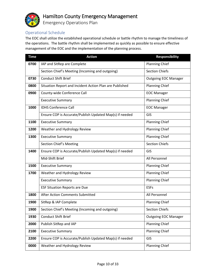

Emergency Operations Plan

#### <span id="page-9-0"></span>Operational Schedule

The EOC shall utilize the established operational schedule or battle rhythm to manage the timeliness of the operations. The battle rhythm shall be implemented as quickly as possible to ensure effective management of the EOC and the implementation of the planning process.

| <b>Time</b> | <b>Action</b>                                           | <b>Responsibility</b>       |
|-------------|---------------------------------------------------------|-----------------------------|
| 0700        | IAP and SitRep are Complete                             | <b>Planning Chief</b>       |
|             | Section Chief's Meeting (Incoming and outgoing)         | <b>Section Chiefs</b>       |
| 0730        | <b>Conduct Shift Brief</b>                              | <b>Outgoing EOC Manager</b> |
| 0800        | Situation Report and Incident Action Plan are Published | <b>Planning Chief</b>       |
| 0900        | County-wide Conference Call                             | <b>EOC Manager</b>          |
|             | <b>Executive Summary</b>                                | <b>Planning Chief</b>       |
| 1000        | <b>IDHS Conference Call</b>                             | <b>EOC Manager</b>          |
|             | Ensure COP is Accurate/Publish Updated Map(s) if needed | GIS                         |
| 1100        | <b>Executive Summary</b>                                | <b>Planning Chief</b>       |
| 1200        | Weather and Hydrology Review                            | <b>Planning Chief</b>       |
| 1300        | <b>Executive Summary</b>                                | <b>Planning Chief</b>       |
|             | Section Chief's Meeting                                 | <b>Section Chiefs</b>       |
| 1400        | Ensure COP is Accurate/Publish Updated Map(s) if needed | GIS                         |
|             | Mid-Shift Brief                                         | All Personnel               |
| 1500        | <b>Executive Summary</b>                                | Planning Chief              |
| 1700        | Weather and Hydrology Review                            | <b>Planning Chief</b>       |
|             | <b>Executive Summary</b>                                | <b>Planning Chief</b>       |
|             | <b>ESF Situation Reports are Due</b>                    | <b>ESFs</b>                 |
| 1800        | After Action Comments Submitted                         | All Personnel               |
| 1900        | SitRep & IAP Complete                                   | <b>Planning Chief</b>       |
| 1900        | Section Chief's Meeting (Incoming and outgoing)         | <b>Section Chiefs</b>       |
| 1930        | Conduct Shift Brief                                     | <b>Outgoing EOC Manager</b> |
| 2000        | Publish SitRep and IAP                                  | <b>Planning Chief</b>       |
| 2100        | <b>Executive Summary</b>                                | <b>Planning Chief</b>       |
| 2200        | Ensure COP is Accurate/Publish Updated Map(s) if needed | GIS                         |
| 0000        | Weather and Hydrology Review                            | Planning Chief              |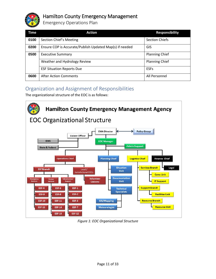

Emergency Operations Plan

| Time | <b>Action</b>                                           | <b>Responsibility</b> |
|------|---------------------------------------------------------|-----------------------|
| 0100 | Section Chief's Meeting                                 | <b>Section Chiefs</b> |
| 0200 | Ensure COP is Accurate/Publish Updated Map(s) if needed | GIS                   |
| 0500 | <b>Executive Summary</b>                                | <b>Planning Chief</b> |
|      | Weather and Hydrology Review                            | <b>Planning Chief</b> |
|      | <b>ESF Situation Reports Due</b>                        | <b>ESFs</b>           |
| 0600 | <b>After Action Comments</b>                            | All Personnel         |

# <span id="page-10-0"></span>Organization and Assignment of Responsibilities

The organizational structure of the EOC is as follows:



*Figure 1: EOC Organizational Structure*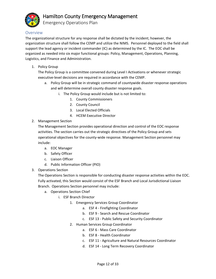

Emergency Operations Plan

#### <span id="page-11-0"></span>Overview

The organizational structure for any response shall be dictated by the incident; however, the organization structure shall follow the CEMP and utilize the NIMS. Personnel deployed to the field shall support the lead agency or incident commander (IC) as determined by the IC. The EOC shall be organized as needed into six major functional groups: Policy, Management, Operations, Planning, Logistics, and Finance and Administration.

1. Policy Group

The Policy Group is a committee convened during Level I Activations or whenever strategic executive-level decisions are required in accordance with the CEMP.

- a. Policy Group will be in strategic command of countywide disaster response operations and will determine overall county disaster response goals.
	- i. The Policy Group would include but is not limited to:
		- 1. County Commissioners
		- 2. County Council
		- 3. Local Elected Officials
		- 4. HCEM Executive Director
- 2. Management Section

The Management Section provides operational direction and control of the EOC response activities. The section carries out the strategic directives of the Policy Group and sets operational objectives for the county-wide response. Management Section personnel may include:

- a. EOC Manager
- b. Safety Officer
- c. Liaison Officer
- d. Public Information Officer (PIO)
- 3. Operations Section

The Operations Section is responsible for conducting disaster response activities within the EOC. Fully activated, this Section would consist of the ESF Branch and Local Jurisdictional Liaison Branch. Operations Section personnel may include:

- a. Operations Section Chief
	- i. ESF Branch Director
		- 1. Emergency Services Group Coordinator
			- a. ESF 4 Firefighting Coordinator
			- b. ESF 9 Search and Rescue Coordinator
			- c. ESF 13 Public Safety and Security Coordinator
		- 2. Human Services Group Coordinator
			- a. ESF 6 Mass Care Coordinator
			- b. ESF 8 Health Coordinator
			- c. ESF 11 Agriculture and Natural Resources Coordinator
			- d. ESF 14 Long Term Recovery Coordinator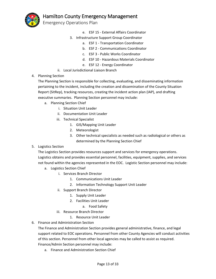

Emergency Operations Plan

- e. ESF 15 External Affairs Coordinator
- 3. Infrastructure Support Group Coordinator
	- a. ESF 1 Transportation Coordinator
	- b. ESF 2 Communications Coordinator
	- c. ESF 3 Public Works Coordinator
	- d. ESF 10 Hazardous Materials Coordinator
	- e. ESF 12 Energy Coordinator
- ii. Local Jurisdictional Liaison Branch
- 4. Planning Section

The Planning Section is responsible for collecting, evaluating, and disseminating information pertaining to the incident, including the creation and dissemination of the County Situation Report (SitRep), tracking resources, creating the incident action plan (IAP), and drafting executive summaries. Planning Section personnel may include:

- a. Planning Section Chief
	- i. Situation Unit Leader
	- ii. Documentation Unit Leader
	- iii. Technical Specialist
		- 1. GIS/Mapping Unit Leader
		- 2. Meteorologist
		- 3. Other technical specialists as needed such as radiological or others as determined by the Planning Section Chief
- 5. Logistics Section

The Logistics Section provides resources support and services for emergency operations. Logistics obtains and provides essential personnel, facilities, equipment, supplies, and services not found within the agencies represented in the EOC. Logistic Section personnel may include:

- a. Logistics Section Chief
	- i. Services Branch Director
		- 1. Communications Unit Leader
		- 2. Information Technology Support Unit Leader
	- ii. Support Branch Director
		- 1. Supply Unit Leader
		- 2. Facilities Unit Leader
			- a. Food Safety
	- iii. Resource Branch Director
		- 1. Resource Unit Leader
- 6. Finance and Administration Section

The Finance and Administration Section provides general administrative, finance, and legal support related to EOC operations. Personnel from other County Agencies will conduct activities of this section. Personnel from other local agencies may be called to assist as required. Finance/Admin Section personnel may include:

a. Finance and Administration Section Chief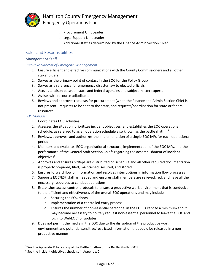

- - i. Procurement Unit Leader
	- ii. Legal Support Unit Leader
	- iii. Additional staff as determined by the Finance Admin Section Chief

#### <span id="page-13-0"></span>Roles and Responsibilities

#### <span id="page-13-1"></span>Management Staff

#### *Executive Director of Emergency Management*

- 1. Ensure efficient and effective communications with the County Commissioners and all other stakeholders
- 2. Serves as the primary point of contact in the EOC for the Policy Group
- 3. Serves as a reference for emergency disaster law to elected officials
- 4. Acts as a liaison between state and federal agencies and subject matter experts
- 5. Assists with resource adjudication
- 6. Reviews and approves requests for procurement (when the Finance and Admin Section Chief is not present), requests to be sent to the state, and requests/coordination for state or federal resources

#### *EOC Manager*

 $\overline{\phantom{a}}$ 

- 1. Coordinates EOC activities
- 2. Assesses the situation, prioritizes incident objectives, and establishes the EOC operational schedule, as referred to as an operation schedule also known as the battle rhythm<sup>5</sup>
- 3. Reviews, approves, and authorizes the implementation of a single EOC IAPs for each operational period
- 4. Monitors and evaluates EOC organizational structure, implementation of the EOC IAPs, and the performance of the General Staff Section Chiefs regarding the accomplishment of incident objectives<sup>6</sup>
- 5. Approves and ensures SitReps are distributed on schedule and all other required documentation is properly prepared, filed, maintained, secured, and stored
- 6. Ensures forward flow of information and resolves interruptions in information flow processes
- 7. Supports EOC/ESF staff as needed and ensures staff members are relieved, fed, and have all the necessary resources to conduct operations.
- 8. Establishes access control protocols to ensure a productive work environment that is conducive to the efficient and effectiveness of the overall EOC operations and may include
	- a. Securing the EOC doors
	- b. Implementation of a controlled entry process
	- c. Ensures the number of non-essential personnel in the EOC is kept to a minimum and it may become necessary to politely request non-essential personnel to leave the EOC and log into WebEOC for updates
- 9. Does not permit the media in the EOC due to the disruption of the productive work environment and potential sensitive/restricted information that could be released in a nonproductive manner

<sup>5</sup> See the Appendix B for a copy of the Battle Rhythm or the Battle Rhythm SOP

<sup>&</sup>lt;sup>6</sup> See the incident objectives checklist in Appendix C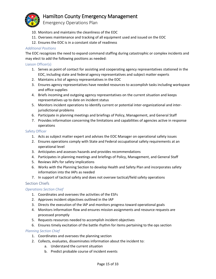

Emergency Operations Plan

- 10. Monitors and maintains the cleanliness of the EOC
- 11. Oversees maintenance and tracking of all equipment used and issued on the EOC
- 12. Ensures the EOC is in a constant state of readiness

#### *Additional Positions*

The EOC recognizes the need to expand command staffing during catastrophic or complex incidents and may elect to add the following positions as needed:

#### Liaison Officer(s)

- 1. Serves as point of contact for assisting and cooperating agency representatives stationed in the EOC, including state and federal agency representatives and subject matter experts
- 2. Maintains a list of agency representatives in the EOC
- 3. Ensures agency representatives have needed resources to accomplish tasks including workspace and office supplies
- 4. Briefs incoming and outgoing agency representatives on the current situation and keeps representatives up to date on incident status
- 5. Monitors incident operations to identify current or potential inter-organizational and interjurisdictional problems
- 6. Participate in planning meetings and briefings of Policy, Management, and General Staff
- 7. Provides information concerning the limitations and capabilities of agencies active in response operations

#### Safety Officer

- 1. Acts as subject matter expert and advises the EOC Manager on operational safety issues
- 2. Ensures operations comply with State and Federal occupational safety requirements at an operational level
- 3. Anticipates and assesses hazards and provides recommendations
- 4. Participates in planning meetings and briefings of Policy, Management, and General Staff
- 5. Reviews IAPs for safety implications
- 6. Works with the Planning Section to develop Health and Safety Plan and incorporates safety information into the IAPs as needed
- 7. In support of tactical safety and does not oversee tactical/field safety operations

#### <span id="page-14-0"></span>Section Chiefs

#### *Operations Section Chief*

- 1. Coordinates and oversees the activities of the ESFs
- 2. Approves incident objectives outlined in the IAP
- 3. Directs the execution of the IAP and monitors progress toward operational goals
- 4. Monitors information flow and ensures mission assignments and resource requests are processed promptly
- 5. Requests resources needed to accomplish incident objectives
- 6. Ensures timely excitation of the battle rhythm for items pertaining to the ops section

#### *Planning Section Chief*

- 1. Coordinates and oversees the planning section
- 2. Collects, evaluates, disseminates information about the incident to:
	- a. Understand the current situation
	- b. Predict probable course of incident events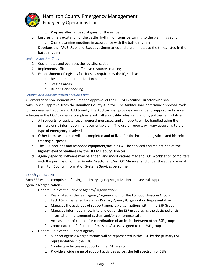

- c. Prepare alternative strategies for the incident
- 3. Ensures timely excitation of the battle rhythm for items pertaining to the planning section
	- a. Chairs planning meetings in accordance with the battle rhythm
- 4. Develops the IAP, SitRep, and Executive Summaries and disseminates at the times listed in the battle rhythm

#### *Logistics Section Chief*

- 1. Coordinates and oversees the logistics section
- 2. Implements efficient and effective resource sourcing
- 3. Establishment of logistics facilities as required by the IC, such as:
	- a. Reception and mobilization centers
	- b. Staging areas
	- c. Billeting and feeding

#### *Finance and Administration Section Chief*

All emergency procurement requires the approval of the HCEM Executive Director who shall consult/seek approval from the Hamilton County Auditor. The Auditor shall determine approval levels for procurement approvals. Additionally, the Auditor shall provide oversight and support for finance activities in the EOC to ensure compliance with all applicable rules, regulations, policies, and statues.

- a. All requests for assistance, all general messages, and all reports will be handled using the primary crisis information management system. The use of reports will vary according to the type of emergency involved.
- b. Other forms as needed will be completed and utilized for the incident, logistical, and historical tracking purposes.
- c. The EOC facilities and response equipment/facilities will be serviced and maintained at the highest level of readiness by the HCEM Deputy Director.
- d. Agency-specific software may be added, and modifications made to EOC workstation computers with the permission of the Deputy Director and/or EOC Manager and under the supervision of Hamilton County Information Systems Services personnel.

#### <span id="page-15-0"></span>ESF Organization

Each ESF will be comprised of a single primary agency/organization and several support agencies/organizations

- 1. General Role of the Primary Agency/Organization:
	- a. Designated as the lead agency/organization for the ESF Coordination Group
	- b. Each ESF is managed by an ESF Primary Agency/Organization Representative
	- c. Manages the activities of support agencies/organizations within the ESF Group
	- d. Manages information flow into and out of the ESF group using the designed crisis information management system and/or conference calls
	- e. Acts as point of contact for coordination of activities between other ESF groups
	- f. Coordinate the fulfillment of missions/tasks assigned to the ESF group
- 2. General Role of the Support Agency
	- a. Support agencies/organizations will be represented in the EOC by the primary ESF representative in the EOC
	- b. Conducts activities in support of the ESF mission
	- c. Provide a wide range of support activities across the full spectrum of ESFs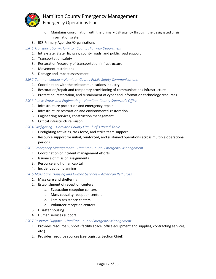

Emergency Operations Plan

- d. Maintains coordination with the primary ESF agency through the designated crisis information system
- 3. ESF Primary Agencies/Organizations

#### *ESF 1 Transportation – Hamilton County Highway Department*

- 1. Intra-state, State Highway, county roads, and public road support
- 2. Transportation safety
- 3. Restoration/recovery of transportation infrastructure
- 4. Movement restrictions
- 5. Damage and impact assessment

#### *ESF 2 Communications – Hamilton County Public Safety Communications*

- 1. Coordination with the telecommunications industry
- 2. Restoration/repair and temporary provisioning of communications infrastructure
- 3. Protection, restoration, and sustainment of cyber and information technology resources

#### *ESF 3 Public Works and Engineering – Hamilton County Surveyor's Office*

- 1. Infrastructure protection and emergency repair
- 2. Infrastructure restoration and environmental restoration
- 3. Engineering services, construction management
- 4. Critical infrastructure liaison

#### *ESF 4 Firefighting – Hamilton County Fire Chief's Round Table*

- 1. Firefighting activities, task force, and strike team support
- 2. Resource support for initial, reinforced, and sustained operations across multiple operational periods

#### *ESF 5 Emergency Management – Hamilton County Emergency Management*

- 1. Coordination of incident management efforts
- 2. Issuance of mission assignments
- 3. Resource and human capital
- 4. Incident action planning

#### *ESF 6 Mass Care, Housing and Human Services – American Red Cross*

- 1. Mass care and sheltering
- 2. Establishment of reception centers
	- a. Evacuation reception centers
	- b. Mass causality reception centers
	- c. Family assistance centers
	- d. Volunteer reception centers
- 3. Disaster housing
- 4. Human services support

#### *ESF 7 Resource Support – Hamilton County Emergency Management*

- 1. Provides resource support (facility space, office equipment and supplies, contracting services, etc.)
- 2. Provides resource sources (see Logistics Section Chief)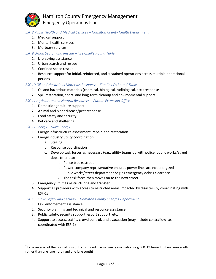

Emergency Operations Plan

#### *ESF 8 Public Health and Medical Services – Hamilton County Health Department*

- 1. Medical support
- 2. Mental health services
- 3. Mortuary services

#### *ESF 9 Urban Search and Rescue – Fire Chief's Round Table*

- 1. Life-saving assistance
- 2. Urban search and rescue
- 3. Confined space rescue
- 4. Resource support for initial, reinforced, and sustained operations across multiple operational periods

#### *ESF 10 Oil and Hazardous Materials Response – Fire Chief's Round Table*

- 1. Oil and hazardous materials (chemical, biological, radiological, etc.) response
- 2. Spill restoration, short- and long-term cleanup and environmental support

#### *ESF 11 Agriculture and Natural Resources – Purdue Extension Office*

- 1. Domestic agriculture support
- 2. Animal and plant disease/pest response
- 3. Food safety and security
- 4. Pet care and sheltering

#### *ESF 12 Energy – Duke Energy*

- 1. Energy infrastructure assessment, repair, and restoration
- 2. Energy industry utility coordination
	- a. Staging
	- b. Response coordination
	- c. Develop task forces as necessary (e.g., utility teams up with police, public works/street department to:
		- i. Police blocks street
		- ii. Power company representative ensures power lines are not energized
		- iii. Public works/street department begins emergency debris clearance
		- iv. The task force then moves on to the next street
- 3. Emergency utilities restructuring and transfer
- 4. Support all providers with access to restricted areas impacted by disasters by coordinating with ESF-13

#### *ESF 13 Public Safety and Security – Hamilton County Sheriff's Department*

1. Law enforcement assistance

 $\overline{\phantom{a}}$ 

- 2. Security planning and technical and resource assistance
- 3. Public safety, security support, escort support, etc.
- 4. Support to access, traffic, crowd control, and evacuation (may include contraflow<sup>7</sup> as coordinated with ESF-1)

 $^7$  Lane reversal of the normal flow of traffic to aid in emergency evacuation (e.g. S.R. 19 turned to two lanes south rather than one lane north and one lane south)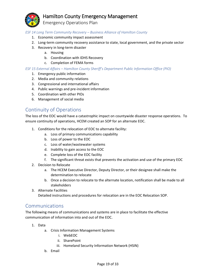Emergency Operations Plan

#### *ESF 14 Long Term Community Recovery – Business Alliance of Hamilton County*

- 1. Economic community impact assessment
- 2. Long-term community recovery assistance to state, local government, and the private sector
- 3. Recovery in long-term disaster
	- a. Housing
	- b. Coordination with IDHS Recovery
	- c. Completion of FEMA forms

#### *ESF 15 External Affairs – Hamilton County Sheriff's Department Public Information Office (PIO)*

- 1. Emergency public information
- 2. Media and community relations
- 3. Congressional and international affairs
- 4. Public warnings and pre-incident information
- 5. Coordination with other PIOs
- 6. Management of social media

# <span id="page-18-0"></span>Continuity of Operations

The loss of the EOC would have a catastrophic impact on countywide disaster response operations. To ensure continuity of operations, HCEM created an SOP for an alternate EOC.

- 1. Conditions for the relocation of EOC to alternate facility:
	- a. Loss of primary communications capability
	- b. Loss of power to the EOC
	- c. Loss of water/wastewater systems
	- d. Inability to gain access to the EOC
	- e. Complete loss of the EOC facility
	- f. The significant threat exists that prevents the activation and use of the primary EOC
- 2. Decision to Relocate
	- a. The HCEM Executive Director, Deputy Director, or their designee shall make the determination to relocate
	- b. Once a decision to relocate to the alternate location, notification shall be made to all stakeholders
- 3. Alternate Facilities

Detailed instructions and procedures for relocation are in the EOC Relocation SOP.

### <span id="page-18-1"></span>Communications

The following means of communications and systems are in place to facilitate the effective communication of information into and out of the EOC.

- 1. Data
	- a. Crisis Information Management Systems
		- i. WebEOC
		- ii. SharePoint
		- iii. Homeland Security Information Network (HSIN)
	- b. Email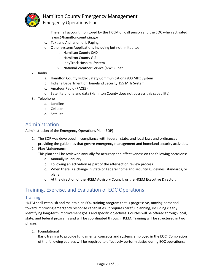

The email account monitored by the HCEM on-call person and the EOC when activated is eoc@hamiltoncounty.in.gov

- c. Text and Alphanumeric Paging
- d. Other systems/applications including but not limited to:
	- i. Hamilton County CAD
	- ii. Hamilton County GIS
	- iii. IndyTrack Hospital System
	- iv. National Weather Service (NWS) Chat
- 2. Radio
	- a. Hamilton County Public Safety Communications 800 MHz System
	- b. Indiana Department of Homeland Security 155 MHz System
	- c. Amateur Radio (RACES)
	- d. Satellite phone and data (Hamilton County does not possess this capability)
- 3. Telephone
	- a. Landline
	- b. Cellular
	- c. Satellite

# <span id="page-19-0"></span>Administration

Administration of the Emergency Operations Plan (EOP)

- 1. The EOP was developed in compliance with federal, state, and local laws and ordinances providing the guidelines that govern emergency management and homeland security activities.
- 2. Plan Maintenance

This plan shall be reviewed annually for accuracy and effectiveness on the following occasions:

- a. Annually in January
- b. Following an activation as part of the after-action review process
- c. When there is a change in State or Federal homeland security guidelines, standards, or plans
- d. At the direction of the HCEM Advisory Council, or the HCEM Executive Director.

# <span id="page-19-1"></span>Training, Exercise, and Evaluation of EOC Operations

#### <span id="page-19-2"></span>**Training**

HCEM shall establish and maintain an EOC training program that is progressive, moving personnel toward improving emergency response capabilities. It requires careful planning, including clearly identifying long-term improvement goals and specific objectives. Courses will be offered through local, state, and federal programs and will be coordinated through HCEM. Training will be structured in two phases:

1. Foundational

Basic training to provide fundamental concepts and systems employed in the EOC. Completion of the following courses will be required to effectively perform duties during EOC operations: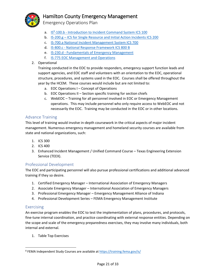

Emergency Operations Plan

- a. IS<sup>8</sup>-100.b [Introduction to Incident Command System ICS 100](https://training.fema.gov/IS/courseOverview.aspx?code=IS-100.b)
- b. IS-200.g [ICS for Single Resource and Initial Action Incidents ICS 200](https://training.fema.gov/IS/courseOverview.aspx?code=IS-100.b)
- c. [IS-700.a National Incident Management System ICS 700](https://training.fema.gov/IS/courseOverview.aspx?code=IS-700.a)
- d. IS-800.c [National Response Framework ICS 800 B](https://training.fema.gov/IS/courseOverview.aspx?code=IS-800.c)
- e. IS-230.d [Fundamentals of Emergency Management](https://training.fema.gov/IS/courseOverview.aspx?code=IS-230.d)
- f. [IS-775 EOC Management and Operations](https://training.fema.gov/IS/courseOverview.aspx?code=IS-775)
- 2. Operational

Training conducted in the EOC to provide responders, emergency support function leads and support agencies, and EOC staff and volunteers with an orientation to the EOC, operational structure, procedures, and systems used in the EOC. Courses shall be offered throughout the year by the HCEM. These courses would include but are not limited to:

- a. EOC Operations I Concept of Operations
- b. EOC Operations II Section specific training for section chiefs
- c. WebEOC Training for all personnel involved in EOC or Emergency Management operations. This may include personnel who only require access to WebEOC and not necessarily the EOC. Training may be conducted in the EOC or in other locations.

#### <span id="page-20-0"></span>Advance Training

This level of training would involve in-depth coursework in the critical aspects of major incident management. Numerous emergency management and homeland security courses are available from state and national organizations, such:

- 1. ICS 300
- 2. ICS 400
- 3. Enhanced Incident Management / Unified Command Course Texas Engineering Extension Service (TEEX).

#### <span id="page-20-1"></span>Professional Development

The EOC and participating personnel will also pursue professional certifications and additional advanced training if they so desire.

- 1. Certified Emergency Manager International Association of Emergency Managers
- 2. Associate Emergency Manager International Association of Emergency Managers
- 3. Professional Emergency Manager Emergency Management Alliance of Indiana
- 4. Professional Development Series FEMA Emergency Management Institute

#### <span id="page-20-2"></span>Exercising

 $\overline{a}$ 

An exercise program enables the EOC to test the implementation of plans, procedures, and protocols, fine-tune internal coordination, and practice coordinating with external response entities. Depending on the scope and scale of the emergency preparedness exercises, they may involve many individuals, both internal and external.

1. Table Top Exercises

<sup>&</sup>lt;sup>8</sup> FEMA Independent Study Courses are available at<https://training.fema.gov/is/>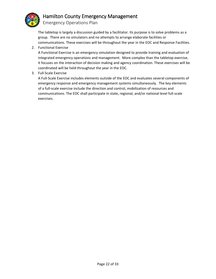

The tabletop is largely a discussion guided by a facilitator. Its purpose is to solve problems as a group. There are no simulators and no attempts to arrange elaborate facilities or communications. These exercises will be throughout the year in the EOC and Response Facilities.

2. Functional Exercise

A Functional Exercise is an emergency simulation designed to provide training and evaluation of integrated emergency operations and management. More complex than the tabletop exercise, it focuses on the interaction of decision making and agency coordination. These exercises will be coordinated will be held throughout the year in the EOC.

3. Full-Scale Exercise

A Full-Scale Exercise includes elements outside of the EOC and evaluates several components of emergency response and emergency management systems simultaneously. The key elements of a full-scale exercise include the direction and control, mobilization of resources and communications. The EOC shall participate in state, regional, and/or national level full-scale exercises.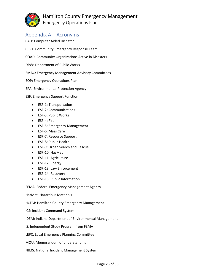Emergency Operations Plan

# <span id="page-22-0"></span>Appendix A – Acronyms

- CAD: Computer Aided Dispatch CERT: Community Emergency Response Team COAD: Community Organizations Active in Disasters DPW: Department of Public Works EMAC: Emergency Management Advisory Committees EOP: Emergency Operations Plan EPA: Environmental Protection Agency ESF: Emergency Support Function
	- ESF-1: Transportation
	- ESF-2: Communications
	- ESF-3: Public Works
	- ESF-4: Fire
	- ESF-5: Emergency Management
	- ESF-6: Mass Care
	- ESF-7: Resource Support
	- ESF-8: Public Health
	- ESF-9: Urban Search and Rescue
	- ESF-10: HazMat
	- ESF-11: Agriculture
	- ESF-12: Energy
	- ESF-13: Law Enforcement
	- ESF-14: Recovery
	- ESF-15: Public Information

FEMA: Federal Emergency Management Agency

HazMat: Hazardous Materials

HCEM: Hamilton County Emergency Management

- ICS: Incident Command System
- IDEM: Indiana Department of Environmental Management
- IS: Independent Study Program from FEMA

LEPC: Local Emergency Planning Committee

- MOU: Memorandum of understanding
- NIMS: National Incident Management System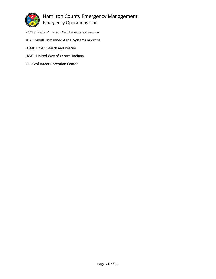

Emergency Operations Plan

RACES: Radio Amateur Civil Emergency Service sUAS: Small Unmanned Aerial Systems or drone USAR: Urban Search and Rescue UWCI: United Way of Central Indiana VRC: Volunteer Reception Center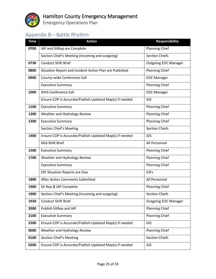

Emergency Operations Plan

# <span id="page-24-0"></span>Appendix B – Battle Rhythm

| <b>Time</b> | <b>Action</b>                                           | <b>Responsibility</b>       |
|-------------|---------------------------------------------------------|-----------------------------|
| 0700        | IAP and SitRep are Complete                             | <b>Planning Chief</b>       |
|             | Section Chief's Meeting (Incoming and outgoing)         | <b>Section Chiefs</b>       |
| 0730        | <b>Conduct Shift Brief</b>                              | <b>Outgoing EOC Manager</b> |
| 0800        | Situation Report and Incident Action Plan are Published | <b>Planning Chief</b>       |
| 0900        | County-wide Conference Call                             | <b>EOC Manager</b>          |
|             | <b>Executive Summary</b>                                | <b>Planning Chief</b>       |
| 1000        | <b>IDHS Conference Call</b>                             | <b>EOC Manager</b>          |
|             | Ensure COP is Accurate/Publish Updated Map(s) if needed | GIS                         |
| 1100        | <b>Executive Summary</b>                                | <b>Planning Chief</b>       |
| 1200        | Weather and Hydrology Review                            | <b>Planning Chief</b>       |
| 1300        | <b>Executive Summary</b>                                | <b>Planning Chief</b>       |
|             | Section Chief's Meeting                                 | <b>Section Chiefs</b>       |
| 1400        | Ensure COP is Accurate/Publish Updated Map(s) if needed | GIS                         |
|             | Mid-Shift Brief                                         | All Personnel               |
| 1500        | <b>Executive Summary</b>                                | <b>Planning Chief</b>       |
| 1700        | Weather and Hydrology Review                            | <b>Planning Chief</b>       |
|             | <b>Executive Summary</b>                                | <b>Planning Chief</b>       |
|             | <b>ESF Situation Reports are Due</b>                    | <b>ESFs</b>                 |
| 1800        | After Action Comments Submitted                         | All Personnel               |
| 1900        | Sit Rep & IAP Complete                                  | <b>Planning Chief</b>       |
| 1900        | Section Chief's Meeting (Incoming and outgoing)         | <b>Section Chiefs</b>       |
| 1930        | <b>Conduct Shift Brief</b>                              | <b>Outgoing EOC Manager</b> |
| 2000        | Publish SitRep and IAP                                  | <b>Planning Chief</b>       |
| 2100        | <b>Executive Summary</b>                                | <b>Planning Chief</b>       |
| 2200        | Ensure COP is Accurate/Publish Updated Map(s) if needed | GIS                         |
| 0000        | Weather and Hydrology Review                            | <b>Planning Chief</b>       |
| 0100        | Section Chief's Meeting                                 | <b>Section Chiefs</b>       |
| 0200        | Ensure COP is Accurate/Publish Updated Map(s) if needed | GIS                         |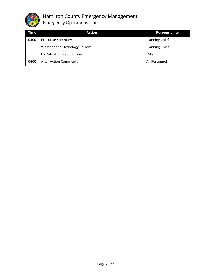

Emergency Operations Plan

| Time | Action                           | <b>Responsibility</b> |
|------|----------------------------------|-----------------------|
| 0500 | <b>Executive Summary</b>         | <b>Planning Chief</b> |
|      | Weather and Hydrology Review     | <b>Planning Chief</b> |
|      | <b>ESF Situation Reports Due</b> | <b>ESFs</b>           |
| 0600 | <b>After Action Comments</b>     | All Personnel         |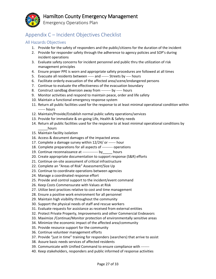Emergency Operations Plan

# <span id="page-26-0"></span>Appendix C – Incident Objectives Checklist

#### <span id="page-26-1"></span>All Hazards Objectives

- 1. Provide for the safety of responders and the public/citizens for the duration of the incident
- 2. Provide for responder safety through the adherence to agency policies and SOP's during incident operations
- 3. Evaluate safety concerns for incident personnel and public thru the utilization of risk management principles
- 4. Ensure proper PPE is worn and appropriate safety procedures are followed at all times
- 5. Evacuate all residents between ----- and ------ Streets by ---- hours
- 6. Facilitate orderly evacuation of the affected area/scene/endangered persons
- 7. Continue to evaluate the effectiveness of the evacuation boundary
- 8. Construct sandbag diversion away from -------- by ----- hours
- 9. Monitor activities and respond to maintain peace, order and life safety
- 10. Maintain a functional emergency response system
- 11. Return all public facilities used for the response to at least minimal operational condition within ------ hours
- 12. Maintain/Provide/Establish normal public safety operations/services
- 13. Provide for immediate & on-going Life, Health & Safety needs
- 14. Return all public facilities used for the response to at least minimal operational conditions by hours
- 15. Maintain facility isolation
- 16. Access & document damages of the impacted areas
- 17. Complete a damage survey within 12/24/ or ------ hour
- 18. Complete preparations for all aspects of --------- operations
- 19. Continue reconnaissance at ------------- by\_\_\_\_\_ hours
- 20. Create appropriate documentation to support response (S&R) efforts
- 21. Continue on-site assessment of critical infrastructure
- 22. Complete an "Areas of Risk" Assessment/Size Up
- 23. Continue to coordinate operations between agencies
- 24. Manage a coordinated response effort
- 25. Provide and control support to the incident/event command
- 26. Keep Costs Commensurate with Values at Risk
- 27. Utilize best practices relative to cost and time management
- 28. Ensure a positive work environment for all personnel
- 29. Maintain high visibility throughout the community
- 30. Support the physical needs of staff and rescue workers
- 31. Evaluate requests for assistance as received from external entities
- 32. Protect Private Property, Improvements and other Commercial Endeavors
- 33. Maximize /Continue/Monitor protection of environmentally sensitive areas
- 34. Minimize the economic impact of the affected area/community
- 35. Provide resource support for the community
- 36. Continue volunteer management efforts
- 37. Provide "just in time" training for responders (searchers) that arrive to assist
- 38. Assure basic needs services of affected residents
- 39. Communicate with Unified Command to ensure compliance with -------
- 40. Keep stakeholders, responders and public informed of response activities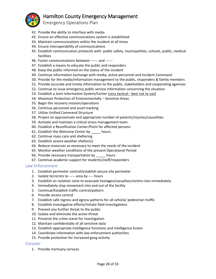Emergency Operations Plan

- 41. Provide the ability to interface with media
- 42. Ensure an effective communications system is established
- 43. Maintain communications within the incident at all times
- 44. Ensure interoperability of communications
- 45. Establish communication protocols with: public safety, municipalities, schools, public, medical facilities
- 46. Foster communications between ------ and ------
- 47. Establish a means to educate the public and responders
- 48. Keep the public informed on the status of the incident
- 49. Continue information exchange with media, active personnel and Incident Command
- 50. Provide for the media/information management to the public, responders & family members
- 51. Provide accurate and timely information to the public, stakeholders and cooperating agencies
- 52. Continue to issue emergency public service information concerning the situation
- 53. Establish a Joint Information System/Center (very tactical best not to use)
- 54. Maximize Protection of Environmentally Sensitive Areas
- 55. Begin the recovery mission/operations
- 56. Continue personnel and asset tracking
- 57. Utilize Unified Command Structure
- 58. Project an approximate and appropriate number of patients/injuries/causalities
- 59. Activate and maintain a critical stress management team
- 60. Establish a Reunification Center/Point for affected persons
- 61. Establish the Welcome Center by \_\_\_\_\_ hours.
- 62. Continue mass care and sheltering
- 63. Establish severe weather shelter(s)
- 64. Reduce resources as necessary to meet the needs of the incident
- 65. Monitor weather conditions of the present Operational Period
- 66. Provide necessary transportation by \_\_\_\_\_ hours
- 67. Continue academic support for students/staff/responders

#### <span id="page-27-0"></span>Law Enforcement

- 1. Establish perimeter control/establish secure site perimeter
- 2. Isolate terrorists to ----- area by ---- hours
- 3. Establish an isolation zone to evacuate hostages/casualties/victims into immediately
- 4. Immediately stop movement into and out of the facility
- 5. Continue/Establish traffic control/pattern
- 6. Provide access control
- 7. Establish safe ingress and egress patterns for all vehicle/ pedestrian traffic
- 8. Establish investigative efforts/initiate field investigations
- 9. Prevent any further threat to the public
- 10. Isolate and eliminate the active threat
- 11. Preserve the crime scene for investigation
- 12. Maintain confidentially of all sensitive data
- 13. Establish appropriate intelligence functions and intelligence fusion
- 14. Coordinate information with law enforcement authorities
- 15. Provide protection for increased gang activity

#### <span id="page-27-1"></span>Coroner

1. Provide mortuary services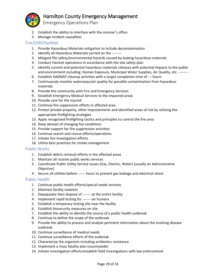

Emergency Operations Plan

- 2. Establish the ability to interface with the coroner's office
- 3. Manage incident causalities

#### <span id="page-28-0"></span>Fire/EMS/HazMat

- 1. Provide Hazardous Materials mitigation to include decontamination
- 2. Identify all Hazardous Materials carried on the --------
- 3. Mitigate life safety/environmental hazards caused by leaking hazardous materials
- 4. Conduct Hazmat operations in accordance with the site safety plan
- 5. Identify current and potential hazardous materials releases with potential impacts to the public and environment including: Human Exposure, Municipal Water Supplies, Air Quality, etc. --------
- 6. Establish HAZMAT cleanup activities with a target completion time of ----hours
- 7. Continuously monitor waterways/air quality for possible contamination from hazardous materials
- 8. Provide the community with Fire and Emergency Services
- 9. Establish Emergency Medical Services to the impacted areas
- 10. Provide care for the injured
- 11. Continue fire suppression efforts in affected area
- 12. Protect private property, other improvements and identified areas of risk by utilizing the appropriate firefighting strategies
- 13. Apply recognized firefighting tactics and principles to control the fire area
- 14. Keep abreast of changing fire conditions
- 15. Provide support for fire suppression activities
- 16. Continue search and rescue efforts/operations
- 17. Initiate fire investigation efforts
- 18. Utilize best practices for smoke management

#### <span id="page-28-1"></span>Public Works

- 1. Establish debris removal efforts in the affected areas
- 2. Maintain all routine public works services
- 3. Coordinate Public Utility Service issues (Gas, Electric, Water) [usually an Administrative Objective]
- 4. Secure all utilities before ------ hours to prevent gas leakage and electrical shock

#### <span id="page-28-2"></span>Public Health

- 1. Continue public health efforts/special needs services
- 2. Maintain facility isolation
- 3. Depopulate then dispose of ------- at the entire facility
- 4. Implement rapid testing for ------- on humans
- 5. Establish a temporary testing site near the facility
- 6. Establish biosecurity measures on site
- 7. Establish the ability to identify the source of a public health outbreak
- 8. Continue to define the scope of the outbreak
- 9. Provide the ability to process and analyze pertinent information about the evolving disease outbreak
- 10. Continue surveillance of medical needs
- 11. Continue surveillance efforts of the outbreak
- 12. Characterize the organism including antibiotics resistance
- 13. Implement a mass fatality plan (countywide)
- 14. Initiate investigation efforts/establish field investigations with law enforcement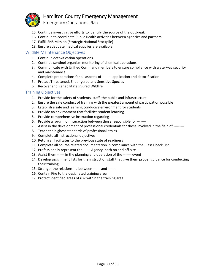Emergency Operations Plan

- 15. Continue investigative efforts to identify the source of the outbreak
- 16. Continue to coordinate Public Health activities between agencies and partners
- 17. Fulfill SNS Mission (Strategic National Stockpile)
- 18. Ensure adequate medical supplies are available

#### <span id="page-29-0"></span>Wildlife Maintenance Objectives

- 1. Continue detoxification operations
- 2. Continue sentinel organism monitoring of chemical operations
- 3. Communicate with Unified Command members to ensure compliance with waterway security and maintenance
- 4. Complete preparations for all aspects of -------- application and detoxification
- 5. Protect Threatened, Endangered and Sensitive Species
- 6. Recover and Rehabilitate Injured Wildlife

#### <span id="page-29-1"></span>Training Objectives

- 1. Provide for the safety of students, staff, the public and infrastructure
- 2. Ensure the safe conduct of training with the greatest amount of participation possible
- 3. Establish a safe and learning conducive environment for students
- 4. Provide an environment that facilities student learning
- 5. Provide comprehensive instruction regarding -------
- 6. Provide a forum for interaction between those responsible for --------
- 7. Assist in the development of professional credentials for those involved in the field of ---------
- 8. Teach the highest standards of professional ethics
- 9. Complete all instructional objectives
- 10. Return all facilitates to the previous state of readiness
- 11. Complete all course-related documentation in compliance with the Class Check List
- 12. Professionally represent the ------ Agency, both on and off-site
- 13. Assist them ------ in the planning and operation of the ------- event
- 14. Develop assignment lists for the instruction staff that give them proper guidance for conducting their training
- 15. Strength the relationship between ------ and ------
- 16. Contain Fire to the designated training area
- 17. Protect identified areas of risk within the training area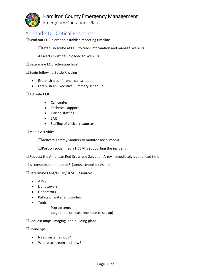Emergency Operations Plan

# <span id="page-30-0"></span>Appendix D - Critical Response

 $\square$  Send out EOC alert and establish reporting timeline

☐Establish scribe at EOC to track information and manage WebEOC

All alerts must be uploaded to WebEOC

☐Determine EOC activation level

 $\Box$ Begin following Battle Rhythm

- Establish a conference call schedule
- Establish an Executive Summary schedule

☐Activate CERT

- Call center
- Technical support
- Liaison staffing
- SAR
- Staffing of critical resources

#### ☐Media Activities

☐Activate Tammy Sanders to monitor social media

 $\square$ Post on social media HCEM is supporting the incident

 $\Box$ Request the American Red Cross and Salvation Army immediately due to lead time

 $\Box$ Is transportation needed? (Janus, school buses, etc.)

#### ☐Determine EMA/HCHD/HCSO Resources

- ATVs
- Light towers
- Generators
- Pallets of water and coolers
- Tents
	- o Pop up tents
	- o Large tents (at least one hour to set up)

 $\Box$ Request maps, imaging, and building plans

☐Drone ops

- Need sustained ops?
- Where to stream and how?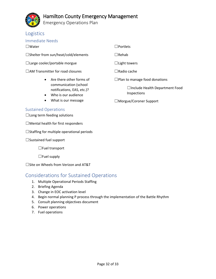

Emergency Operations Plan

### <span id="page-31-0"></span>Logistics

#### <span id="page-31-1"></span>Immediate Needs

☐Water

☐Shelter from sun/heat/cold/elements

- $\Box$ Large cooler/portable morgue
- □AM Transmitter for road closures
	- Are there other forms of communication (school notifications, EAS, etc.)?
	- Who is our audience
	- What is our message

#### <span id="page-31-2"></span>Sustained Operations

 $\Box$ Long term feeding solutions

 $\Box$ Mental health for first responders

☐Staffing for multiple operational periods

☐Sustained fuel support

☐Fuel transport

 $\Box$  Fuel supply

☐Site on Wheels from Verizon and AT&T

# <span id="page-31-3"></span>Considerations for Sustained Operations

- 1. Multiple Operational Periods Staffing
- 2. Briefing Agenda
- 3. Change in EOC activation level
- 4. Begin normal planning P process through the implementation of the Battle Rhythm
- 5. Consult planning objectives document
- 6. Power operations
- 7. Fuel operations
- ☐Portlets
- ☐Rehab
- $\Box$  Light towers
- ☐Radio cache
- ☐Plan to manage food donations

☐Include Health Department Food Inspections

☐Morgue/Coroner Support